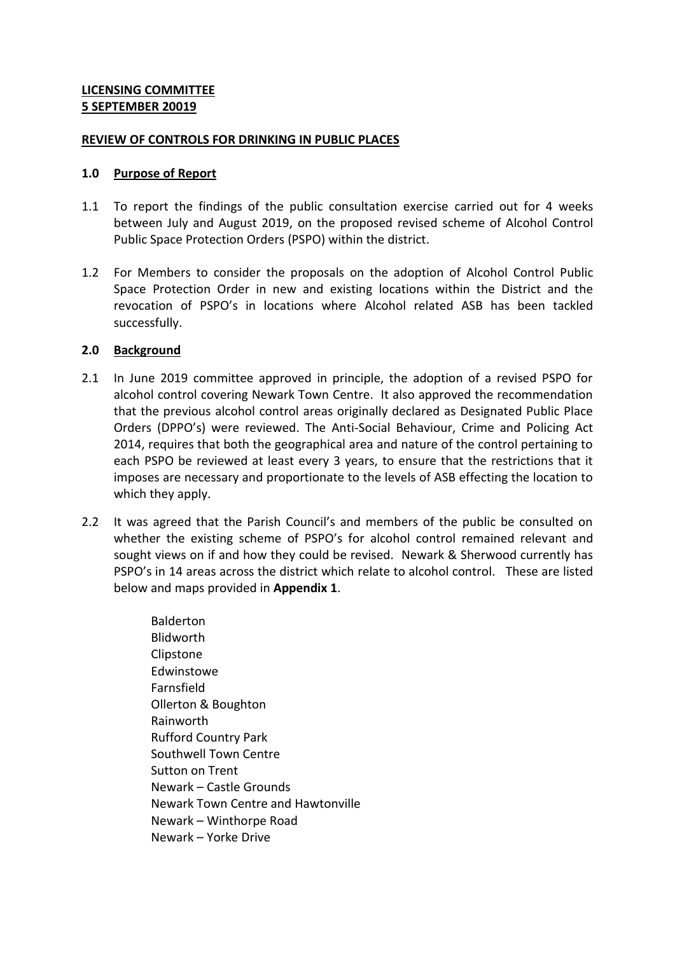#### **REVIEW OF CONTROLS FOR DRINKING IN PUBLIC PLACES**

#### **1.0 Purpose of Report**

- 1.1 To report the findings of the public consultation exercise carried out for 4 weeks between July and August 2019, on the proposed revised scheme of Alcohol Control Public Space Protection Orders (PSPO) within the district.
- 1.2 For Members to consider the proposals on the adoption of Alcohol Control Public Space Protection Order in new and existing locations within the District and the revocation of PSPO's in locations where Alcohol related ASB has been tackled successfully.

### **2.0 Background**

- 2.1 In June 2019 committee approved in principle, the adoption of a revised PSPO for alcohol control covering Newark Town Centre. It also approved the recommendation that the previous alcohol control areas originally declared as Designated Public Place Orders (DPPO's) were reviewed. The Anti-Social Behaviour, Crime and Policing Act 2014, requires that both the geographical area and nature of the control pertaining to each PSPO be reviewed at least every 3 years, to ensure that the restrictions that it imposes are necessary and proportionate to the levels of ASB effecting the location to which they apply.
- 2.2 It was agreed that the Parish Council's and members of the public be consulted on whether the existing scheme of PSPO's for alcohol control remained relevant and sought views on if and how they could be revised. Newark & Sherwood currently has PSPO's in 14 areas across the district which relate to alcohol control. These are listed below and maps provided in **Appendix 1**.

Balderton Blidworth Clipstone Edwinstowe Farnsfield Ollerton & Boughton Rainworth Rufford Country Park Southwell Town Centre Sutton on Trent Newark – Castle Grounds Newark Town Centre and Hawtonville Newark – Winthorpe Road Newark – Yorke Drive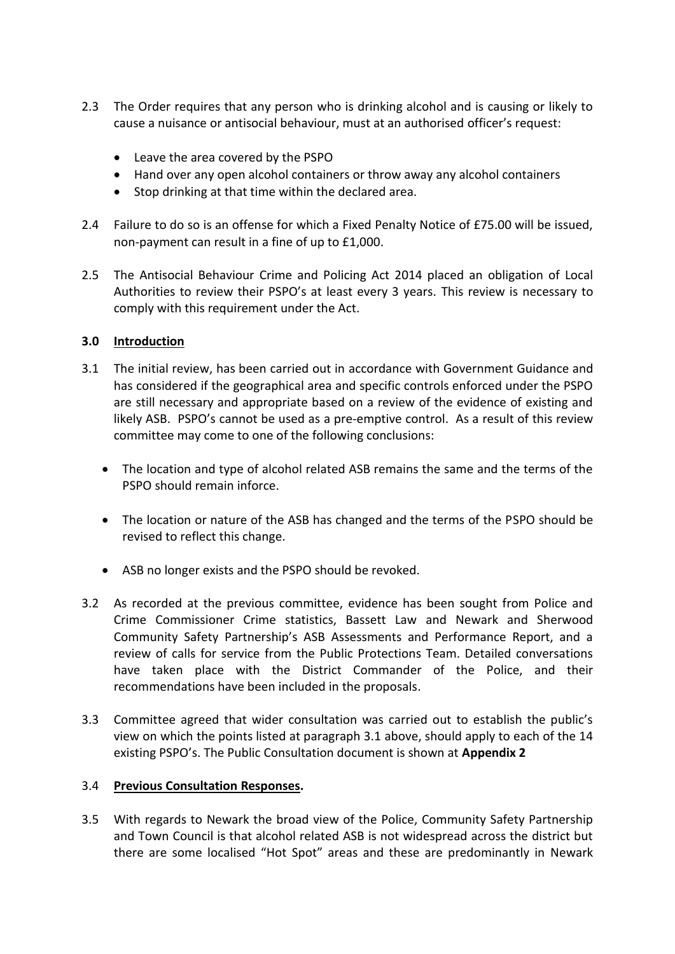- 2.3 The Order requires that any person who is drinking alcohol and is causing or likely to cause a nuisance or antisocial behaviour, must at an authorised officer's request:
	- Leave the area covered by the PSPO
	- Hand over any open alcohol containers or throw away any alcohol containers
	- Stop drinking at that time within the declared area.
- 2.4 Failure to do so is an offense for which a Fixed Penalty Notice of £75.00 will be issued, non-payment can result in a fine of up to £1,000.
- 2.5 The Antisocial Behaviour Crime and Policing Act 2014 placed an obligation of Local Authorities to review their PSPO's at least every 3 years. This review is necessary to comply with this requirement under the Act.

## **3.0 Introduction**

- 3.1 The initial review, has been carried out in accordance with Government Guidance and has considered if the geographical area and specific controls enforced under the PSPO are still necessary and appropriate based on a review of the evidence of existing and likely ASB. PSPO's cannot be used as a pre-emptive control. As a result of this review committee may come to one of the following conclusions:
	- The location and type of alcohol related ASB remains the same and the terms of the PSPO should remain inforce.
	- The location or nature of the ASB has changed and the terms of the PSPO should be revised to reflect this change.
	- ASB no longer exists and the PSPO should be revoked.
- 3.2 As recorded at the previous committee, evidence has been sought from Police and Crime Commissioner Crime statistics, Bassett Law and Newark and Sherwood Community Safety Partnership's ASB Assessments and Performance Report, and a review of calls for service from the Public Protections Team. Detailed conversations have taken place with the District Commander of the Police, and their recommendations have been included in the proposals.
- 3.3 Committee agreed that wider consultation was carried out to establish the public's view on which the points listed at paragraph 3.1 above, should apply to each of the 14 existing PSPO's. The Public Consultation document is shown at **Appendix 2**

### 3.4 **Previous Consultation Responses.**

3.5 With regards to Newark the broad view of the Police, Community Safety Partnership and Town Council is that alcohol related ASB is not widespread across the district but there are some localised "Hot Spot" areas and these are predominantly in Newark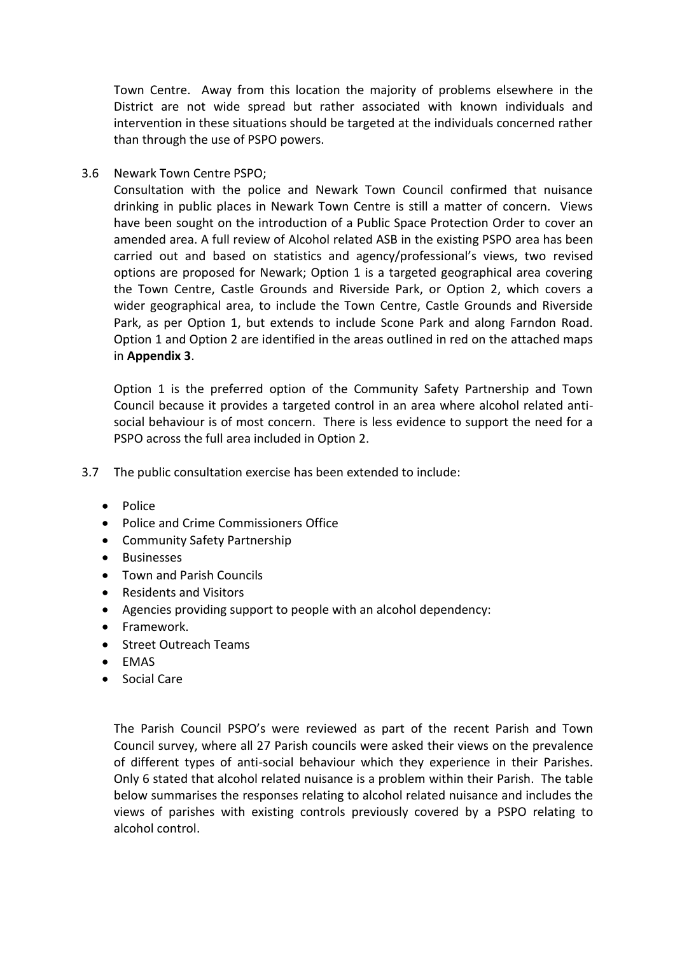Town Centre. Away from this location the majority of problems elsewhere in the District are not wide spread but rather associated with known individuals and intervention in these situations should be targeted at the individuals concerned rather than through the use of PSPO powers.

3.6 Newark Town Centre PSPO;

Consultation with the police and Newark Town Council confirmed that nuisance drinking in public places in Newark Town Centre is still a matter of concern. Views have been sought on the introduction of a Public Space Protection Order to cover an amended area. A full review of Alcohol related ASB in the existing PSPO area has been carried out and based on statistics and agency/professional's views, two revised options are proposed for Newark; Option 1 is a targeted geographical area covering the Town Centre, Castle Grounds and Riverside Park, or Option 2, which covers a wider geographical area, to include the Town Centre, Castle Grounds and Riverside Park, as per Option 1, but extends to include Scone Park and along Farndon Road. Option 1 and Option 2 are identified in the areas outlined in red on the attached maps in **Appendix 3**.

Option 1 is the preferred option of the Community Safety Partnership and Town Council because it provides a targeted control in an area where alcohol related antisocial behaviour is of most concern. There is less evidence to support the need for a PSPO across the full area included in Option 2.

- 3.7 The public consultation exercise has been extended to include:
	- Police
	- Police and Crime Commissioners Office
	- Community Safety Partnership
	- **•** Businesses
	- Town and Parish Councils
	- Residents and Visitors
	- Agencies providing support to people with an alcohol dependency:
	- Framework.
	- Street Outreach Teams
	- EMAS
	- Social Care

The Parish Council PSPO's were reviewed as part of the recent Parish and Town Council survey, where all 27 Parish councils were asked their views on the prevalence of different types of anti-social behaviour which they experience in their Parishes. Only 6 stated that alcohol related nuisance is a problem within their Parish. The table below summarises the responses relating to alcohol related nuisance and includes the views of parishes with existing controls previously covered by a PSPO relating to alcohol control.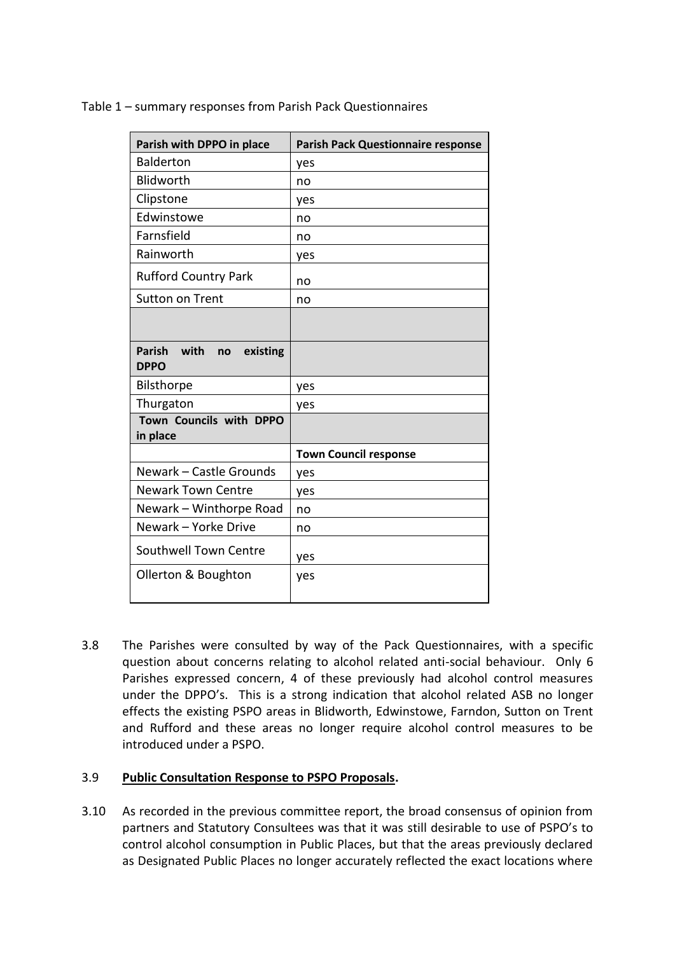|  |  |  | Table 1 - summary responses from Parish Pack Questionnaires |
|--|--|--|-------------------------------------------------------------|
|  |  |  |                                                             |

| Parish with DPPO in place                              | <b>Parish Pack Questionnaire response</b> |
|--------------------------------------------------------|-------------------------------------------|
| <b>Balderton</b>                                       | yes                                       |
| Blidworth                                              | no                                        |
| Clipstone                                              | yes                                       |
| Edwinstowe                                             | no                                        |
| Farnsfield                                             | no                                        |
| Rainworth                                              | yes                                       |
| <b>Rufford Country Park</b>                            | no                                        |
| Sutton on Trent                                        | no                                        |
|                                                        |                                           |
| <b>Parish</b><br>with<br>existing<br>no<br><b>DPPO</b> |                                           |
| Bilsthorpe                                             | yes                                       |
| Thurgaton                                              | yes                                       |
| Town Councils with DPPO<br>in place                    |                                           |
|                                                        | <b>Town Council response</b>              |
| Newark - Castle Grounds                                | yes                                       |
| <b>Newark Town Centre</b>                              | yes                                       |
| Newark - Winthorpe Road                                | no                                        |
| Newark - Yorke Drive                                   | no                                        |
| Southwell Town Centre                                  | yes                                       |
| Ollerton & Boughton                                    | yes                                       |

3.8 The Parishes were consulted by way of the Pack Questionnaires, with a specific question about concerns relating to alcohol related anti-social behaviour. Only 6 Parishes expressed concern, 4 of these previously had alcohol control measures under the DPPO's. This is a strong indication that alcohol related ASB no longer effects the existing PSPO areas in Blidworth, Edwinstowe, Farndon, Sutton on Trent and Rufford and these areas no longer require alcohol control measures to be introduced under a PSPO.

# 3.9 **Public Consultation Response to PSPO Proposals.**

3.10 As recorded in the previous committee report, the broad consensus of opinion from partners and Statutory Consultees was that it was still desirable to use of PSPO's to control alcohol consumption in Public Places, but that the areas previously declared as Designated Public Places no longer accurately reflected the exact locations where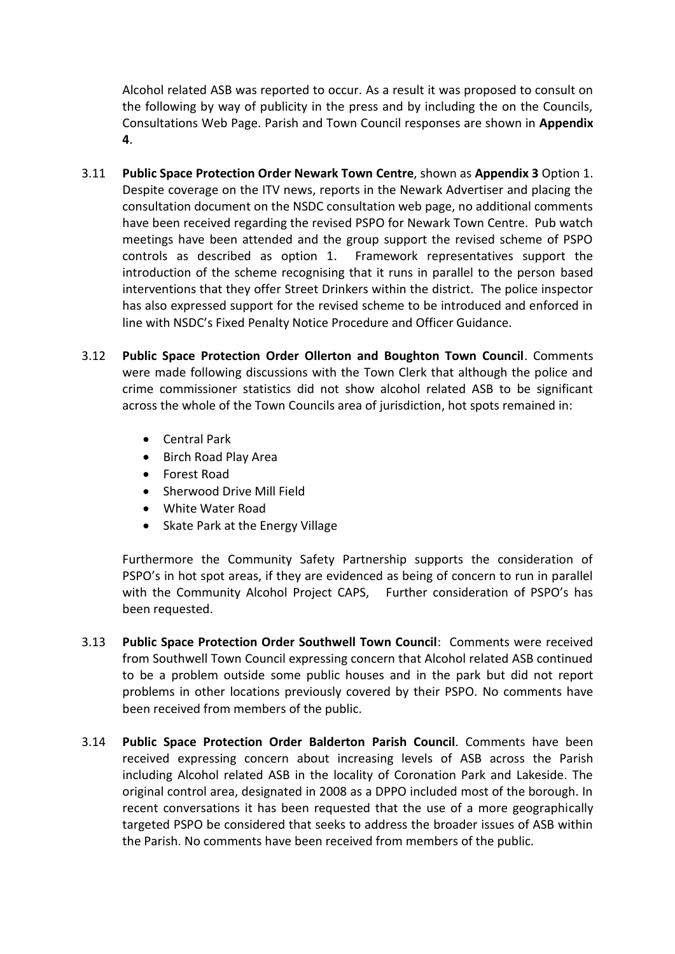Alcohol related ASB was reported to occur. As a result it was proposed to consult on the following by way of publicity in the press and by including the on the Councils, Consultations Web Page. Parish and Town Council responses are shown in **Appendix 4**.

- 3.11 **Public Space Protection Order Newark Town Centre**, shown as **Appendix 3** Option 1. Despite coverage on the ITV news, reports in the Newark Advertiser and placing the consultation document on the NSDC consultation web page, no additional comments have been received regarding the revised PSPO for Newark Town Centre. Pub watch meetings have been attended and the group support the revised scheme of PSPO controls as described as option 1. Framework representatives support the introduction of the scheme recognising that it runs in parallel to the person based interventions that they offer Street Drinkers within the district. The police inspector has also expressed support for the revised scheme to be introduced and enforced in line with NSDC's Fixed Penalty Notice Procedure and Officer Guidance.
- 3.12 **Public Space Protection Order Ollerton and Boughton Town Council**. Comments were made following discussions with the Town Clerk that although the police and crime commissioner statistics did not show alcohol related ASB to be significant across the whole of the Town Councils area of jurisdiction, hot spots remained in:
	- Central Park
	- Birch Road Play Area
	- Forest Road
	- Sherwood Drive Mill Field
	- White Water Road
	- Skate Park at the Energy Village

Furthermore the Community Safety Partnership supports the consideration of PSPO's in hot spot areas, if they are evidenced as being of concern to run in parallel with the Community Alcohol Project CAPS, Further consideration of PSPO's has been requested.

- 3.13 **Public Space Protection Order Southwell Town Council**: Comments were received from Southwell Town Council expressing concern that Alcohol related ASB continued to be a problem outside some public houses and in the park but did not report problems in other locations previously covered by their PSPO. No comments have been received from members of the public.
- 3.14 **Public Space Protection Order Balderton Parish Council**. Comments have been received expressing concern about increasing levels of ASB across the Parish including Alcohol related ASB in the locality of Coronation Park and Lakeside. The original control area, designated in 2008 as a DPPO included most of the borough. In recent conversations it has been requested that the use of a more geographically targeted PSPO be considered that seeks to address the broader issues of ASB within the Parish. No comments have been received from members of the public.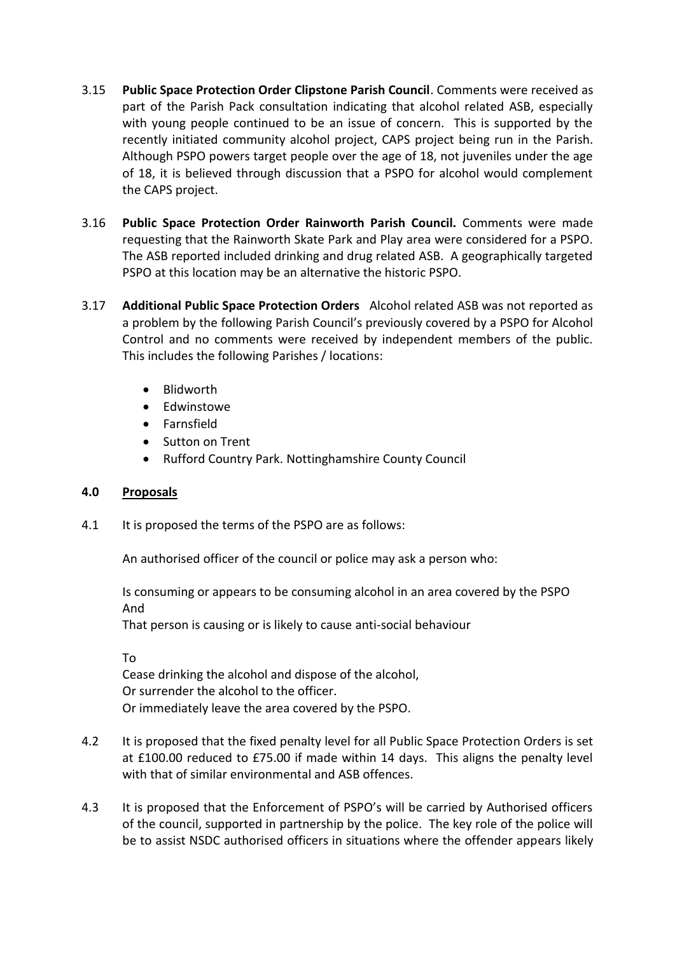- 3.15 **Public Space Protection Order Clipstone Parish Council**. Comments were received as part of the Parish Pack consultation indicating that alcohol related ASB, especially with young people continued to be an issue of concern. This is supported by the recently initiated community alcohol project, CAPS project being run in the Parish. Although PSPO powers target people over the age of 18, not juveniles under the age of 18, it is believed through discussion that a PSPO for alcohol would complement the CAPS project.
- 3.16 **Public Space Protection Order Rainworth Parish Council.** Comments were made requesting that the Rainworth Skate Park and Play area were considered for a PSPO. The ASB reported included drinking and drug related ASB. A geographically targeted PSPO at this location may be an alternative the historic PSPO.
- 3.17 **Additional Public Space Protection Orders** Alcohol related ASB was not reported as a problem by the following Parish Council's previously covered by a PSPO for Alcohol Control and no comments were received by independent members of the public. This includes the following Parishes / locations:
	- Blidworth
	- Fdwinstowe
	- **•** Farnsfield
	- Sutton on Trent
	- Rufford Country Park. Nottinghamshire County Council

# **4.0 Proposals**

4.1 It is proposed the terms of the PSPO are as follows:

An authorised officer of the council or police may ask a person who:

Is consuming or appears to be consuming alcohol in an area covered by the PSPO And

That person is causing or is likely to cause anti-social behaviour

To Cease drinking the alcohol and dispose of the alcohol, Or surrender the alcohol to the officer. Or immediately leave the area covered by the PSPO.

- 4.2 It is proposed that the fixed penalty level for all Public Space Protection Orders is set at £100.00 reduced to £75.00 if made within 14 days. This aligns the penalty level with that of similar environmental and ASB offences.
- 4.3 It is proposed that the Enforcement of PSPO's will be carried by Authorised officers of the council, supported in partnership by the police. The key role of the police will be to assist NSDC authorised officers in situations where the offender appears likely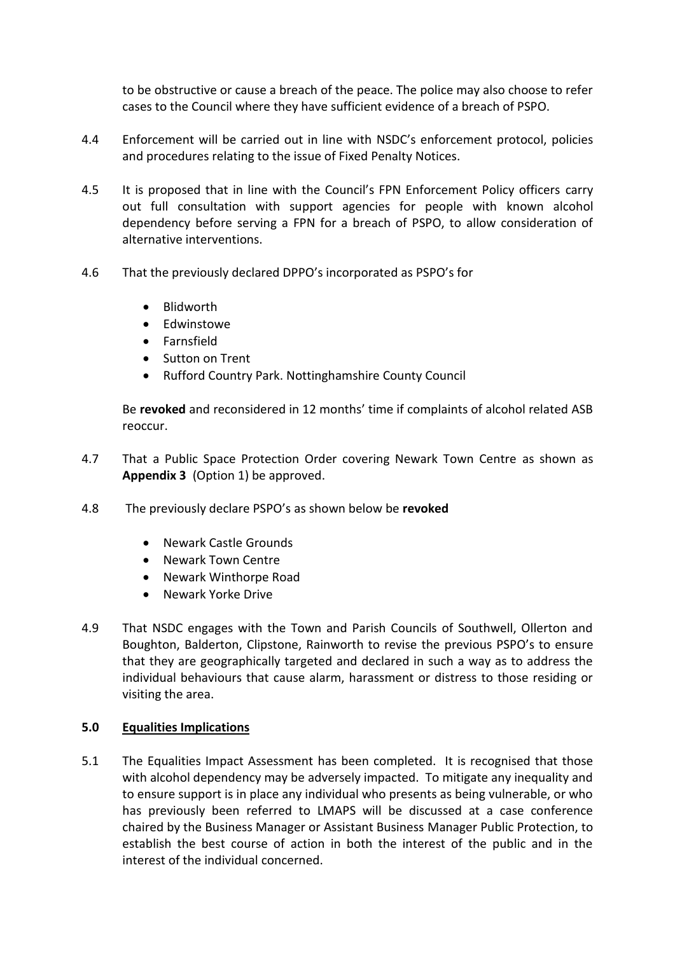to be obstructive or cause a breach of the peace. The police may also choose to refer cases to the Council where they have sufficient evidence of a breach of PSPO.

- 4.4 Enforcement will be carried out in line with NSDC's enforcement protocol, policies and procedures relating to the issue of Fixed Penalty Notices.
- 4.5 It is proposed that in line with the Council's FPN Enforcement Policy officers carry out full consultation with support agencies for people with known alcohol dependency before serving a FPN for a breach of PSPO, to allow consideration of alternative interventions.
- 4.6 That the previously declared DPPO's incorporated as PSPO's for
	- Blidworth
	- Edwinstowe
	- **•** Farnsfield
	- Sutton on Trent
	- Rufford Country Park. Nottinghamshire County Council

Be **revoked** and reconsidered in 12 months' time if complaints of alcohol related ASB reoccur.

- 4.7 That a Public Space Protection Order covering Newark Town Centre as shown as **Appendix 3** (Option 1) be approved.
- 4.8 The previously declare PSPO's as shown below be **revoked**
	- Newark Castle Grounds
	- Newark Town Centre
	- Newark Winthorpe Road
	- Newark Yorke Drive
- 4.9 That NSDC engages with the Town and Parish Councils of Southwell, Ollerton and Boughton, Balderton, Clipstone, Rainworth to revise the previous PSPO's to ensure that they are geographically targeted and declared in such a way as to address the individual behaviours that cause alarm, harassment or distress to those residing or visiting the area.

### **5.0 Equalities Implications**

5.1 The Equalities Impact Assessment has been completed. It is recognised that those with alcohol dependency may be adversely impacted. To mitigate any inequality and to ensure support is in place any individual who presents as being vulnerable, or who has previously been referred to LMAPS will be discussed at a case conference chaired by the Business Manager or Assistant Business Manager Public Protection, to establish the best course of action in both the interest of the public and in the interest of the individual concerned.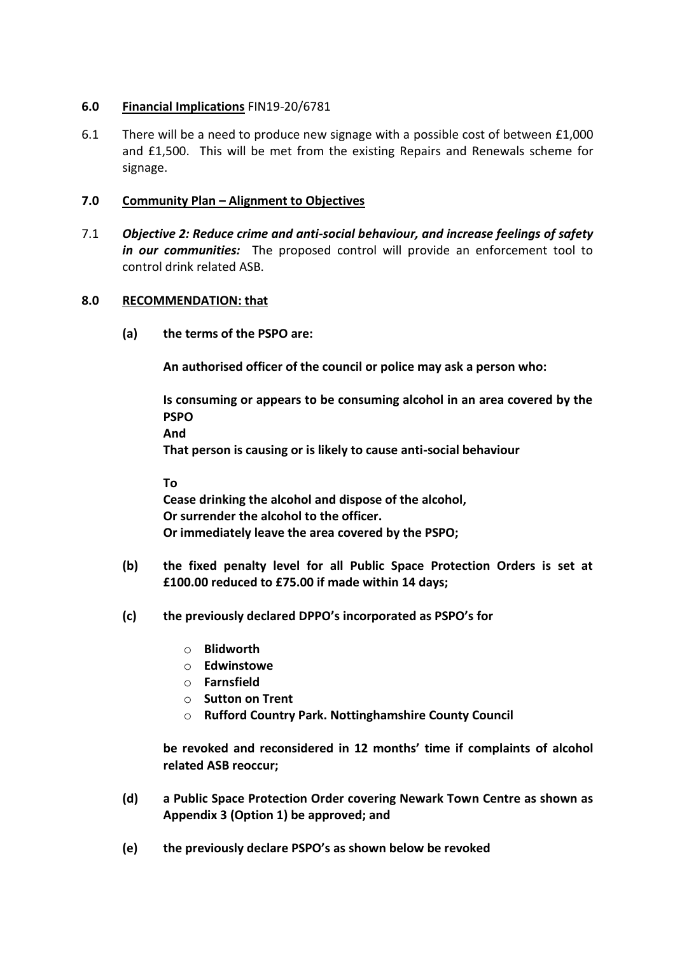# **6.0 Financial Implications** FIN19-20/6781

6.1 There will be a need to produce new signage with a possible cost of between £1,000 and £1,500. This will be met from the existing Repairs and Renewals scheme for signage.

## **7.0 Community Plan – Alignment to Objectives**

7.1 *Objective 2: Reduce crime and anti-social behaviour, and increase feelings of safety in our communities:* The proposed control will provide an enforcement tool to control drink related ASB.

### **8.0 RECOMMENDATION: that**

**(a) the terms of the PSPO are:**

**An authorised officer of the council or police may ask a person who:**

**Is consuming or appears to be consuming alcohol in an area covered by the PSPO And** 

**That person is causing or is likely to cause anti-social behaviour**

**To**

**Cease drinking the alcohol and dispose of the alcohol, Or surrender the alcohol to the officer. Or immediately leave the area covered by the PSPO;**

- **(b) the fixed penalty level for all Public Space Protection Orders is set at £100.00 reduced to £75.00 if made within 14 days;**
- **(c) the previously declared DPPO's incorporated as PSPO's for** 
	- o **Blidworth**
	- o **Edwinstowe**
	- o **Farnsfield**
	- o **Sutton on Trent**
	- o **Rufford Country Park. Nottinghamshire County Council**

**be revoked and reconsidered in 12 months' time if complaints of alcohol related ASB reoccur;**

- **(d) a Public Space Protection Order covering Newark Town Centre as shown as Appendix 3 (Option 1) be approved; and**
- **(e) the previously declare PSPO's as shown below be revoked**